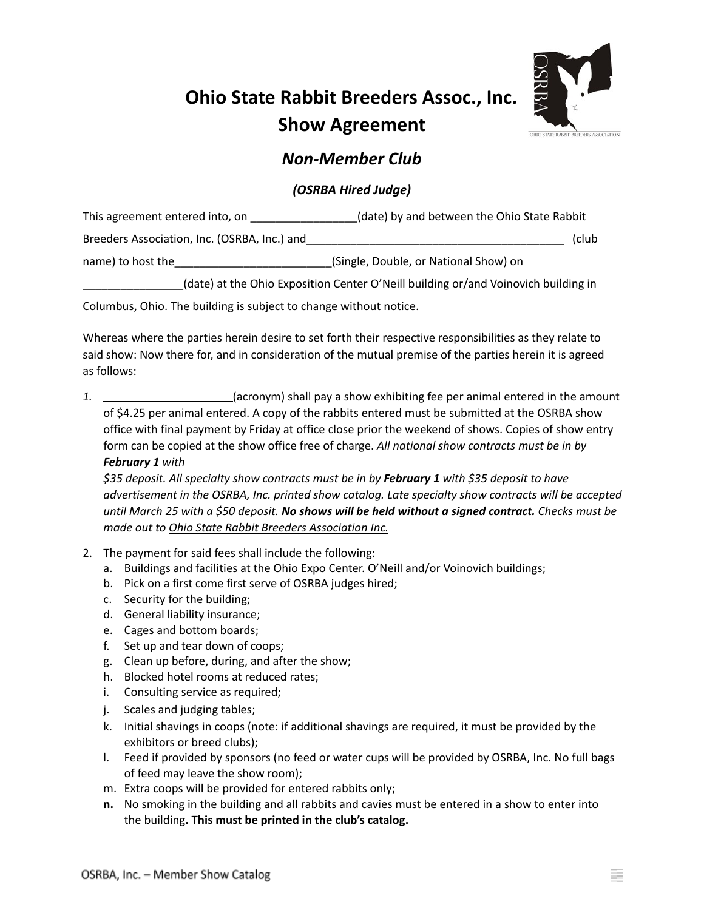## **Ohio State Rabbit Breeders Assoc., Inc. Show Agreement**



## *Non-Member Club*

## *(OSRBA Hired Judge)*

| This agreement entered into, on              | (date) by and between the Ohio State Rabbit |       |  |
|----------------------------------------------|---------------------------------------------|-------|--|
| Breeders Association, Inc. (OSRBA, Inc.) and |                                             | (club |  |
| name) to host the                            | (Single, Double, or National Show) on       |       |  |

\_\_\_\_\_\_\_\_\_\_\_\_\_\_\_\_(date) at the Ohio Exposition Center O'Neill building or/and Voinovich building in

Columbus, Ohio. The building is subject to change without notice.

Whereas where the parties herein desire to set forth their respective responsibilities as they relate to said show: Now there for, and in consideration of the mutual premise of the parties herein it is agreed as follows:

1.  $\sqrt{ }$  (acronym) shall pay a show exhibiting fee per animal entered in the amount of \$4.25 per animal entered. A copy of the rabbits entered must be submitted at the OSRBA show office with final payment by Friday at office close prior the weekend of shows. Copies of show entry form can be copied at the show office free of charge. *All national show contracts must be in by February 1 with*

*\$35 deposit. All specialty show contracts must be in by February 1 with \$35 deposit to have advertisement in the OSRBA, Inc. printed show catalog. Late specialty show contracts will be accepted* until March 25 with a \$50 deposit. No shows will be held without a signed contract. Checks must be *made out to Ohio State Rabbit Breeders Association Inc.*

- 2. The payment for said fees shall include the following:
	- a. Buildings and facilities at the Ohio Expo Center. O'Neill and/or Voinovich buildings;
	- b. Pick on a first come first serve of OSRBA judges hired;
	- c. Security for the building;
	- d. General liability insurance;
	- e. Cages and bottom boards;
	- f. Set up and tear down of coops;
	- g. Clean up before, during, and after the show;
	- h. Blocked hotel rooms at reduced rates;
	- i. Consulting service as required;
	- j. Scales and judging tables;
	- k. Initial shavings in coops (note: if additional shavings are required, it must be provided by the exhibitors or breed clubs);
	- l. Feed if provided by sponsors (no feed or water cups will be provided by OSRBA, Inc. No full bags of feed may leave the show room);
	- m. Extra coops will be provided for entered rabbits only;
	- **n.** No smoking in the building and all rabbits and cavies must be entered in a show to enter into the building**. This must be printed in the club's catalog.**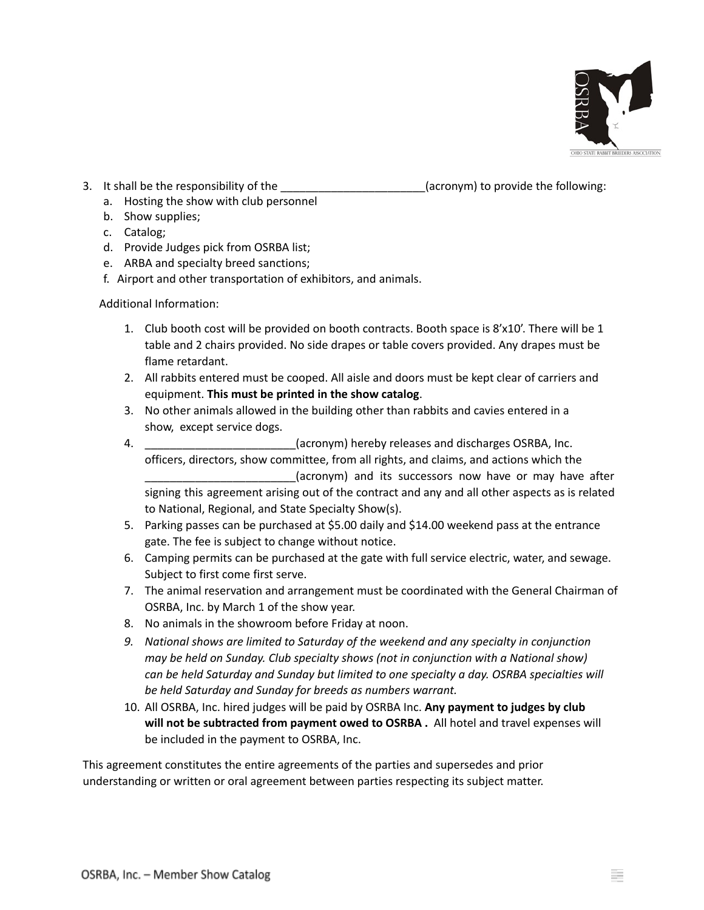

3. It shall be the responsibility of the \_\_\_\_\_\_\_\_\_\_\_\_\_\_\_\_\_\_\_\_\_\_\_(acronym) to provide the following:

- a. Hosting the show with club personnel
- b. Show supplies;
- c. Catalog;
- d. Provide Judges pick from OSRBA list;
- e. ARBA and specialty breed sanctions;
- f. Airport and other transportation of exhibitors, and animals.

Additional Information:

- 1. Club booth cost will be provided on booth contracts. Booth space is 8'x10'. There will be 1 table and 2 chairs provided. No side drapes or table covers provided. Any drapes must be flame retardant.
- 2. All rabbits entered must be cooped. All aisle and doors must be kept clear of carriers and equipment. **This must be printed in the show catalog**.
- 3. No other animals allowed in the building other than rabbits and cavies entered in a show, except service dogs.
- 4. \_\_\_\_\_\_\_\_\_\_\_\_\_\_\_\_\_\_\_\_\_\_\_\_(acronym) hereby releases and discharges OSRBA, Inc. officers, directors, show committee, from all rights, and claims, and actions which the (acronym) and its successors now have or may have after signing this agreement arising out of the contract and any and all other aspects as is related to National, Regional, and State Specialty Show(s).
- 5. Parking passes can be purchased at \$5.00 daily and \$14.00 weekend pass at the entrance gate. The fee is subject to change without notice.
- 6. Camping permits can be purchased at the gate with full service electric, water, and sewage. Subject to first come first serve.
- 7. The animal reservation and arrangement must be coordinated with the General Chairman of OSRBA, Inc. by March 1 of the show year.
- 8. No animals in the showroom before Friday at noon.
- *9. National shows are limited to Saturday of the weekend and any specialty in conjunction may be held on Sunday. Club specialty shows (not in conjunction with a National show) can be held Saturday and Sunday but limited to one specialty a day. OSRBA specialties will be held Saturday and Sunday for breeds as numbers warrant.*
- 10. All OSRBA, Inc. hired judges will be paid by OSRBA Inc. **Any payment to judges by club will not be subtracted from payment owed to OSRBA .** All hotel and travel expenses will be included in the payment to OSRBA, Inc.

This agreement constitutes the entire agreements of the parties and supersedes and prior understanding or written or oral agreement between parties respecting its subject matter.